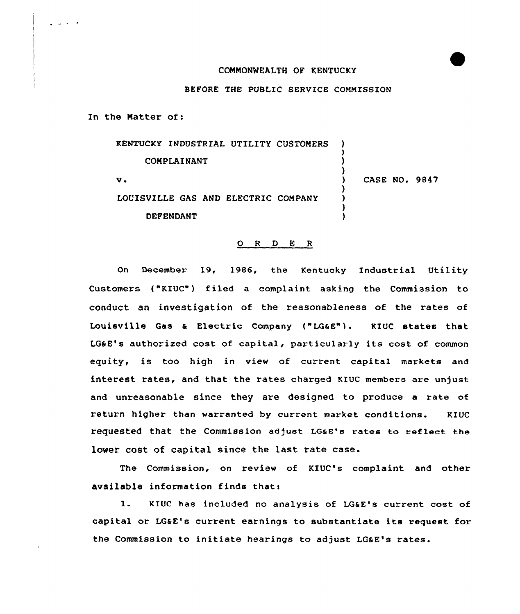## COMMONWEALTH OF KENTUCKY

## BEFORE THE PUBLIC SERVICE COMMISSION

In the Matter of:

والمناصب

KENTUCKY INDUSTRIAL UTILITY CUSTOMERS COMPLAINANT  $v<sub>1</sub>$ LOUISVILLE GAS AND ELECTRIC COMPANY **DEFENDANT** ) ) ) ) ) CASE NO. 9847 ) ) )

## 0 <sup>R</sup> <sup>D</sup> E <sup>R</sup>

On December 19, 1986, the Kentucky Industrial Utility Customers ("KIUC") filed a complaint asking the Commission to conduct an investigation of the reasonableness of the rates of Louisville Gas <sup>a</sup> Electric Company {"LGaE"). KIUC states that LG6E's authorized cost of capital, particularly its cost of common equity, is too high in view of current capital markets and interest rates, and that the rates charged KIUC members are unjust and unreasonable since they are designed to produce a rate of return higher than warranted by current market conditions. KIUC requested that the commission adjust LGaE's rates to reflect the lower cost of capital since the last rate case.

The Commission, on review of KIUC's complaint and other available information finds thats

1. KIUC has included no analysis of LG&E's current cost of capital or LGaE's current earnings to substantiate its request for the Commission to initiate hearings to adjust LG&E's rates.